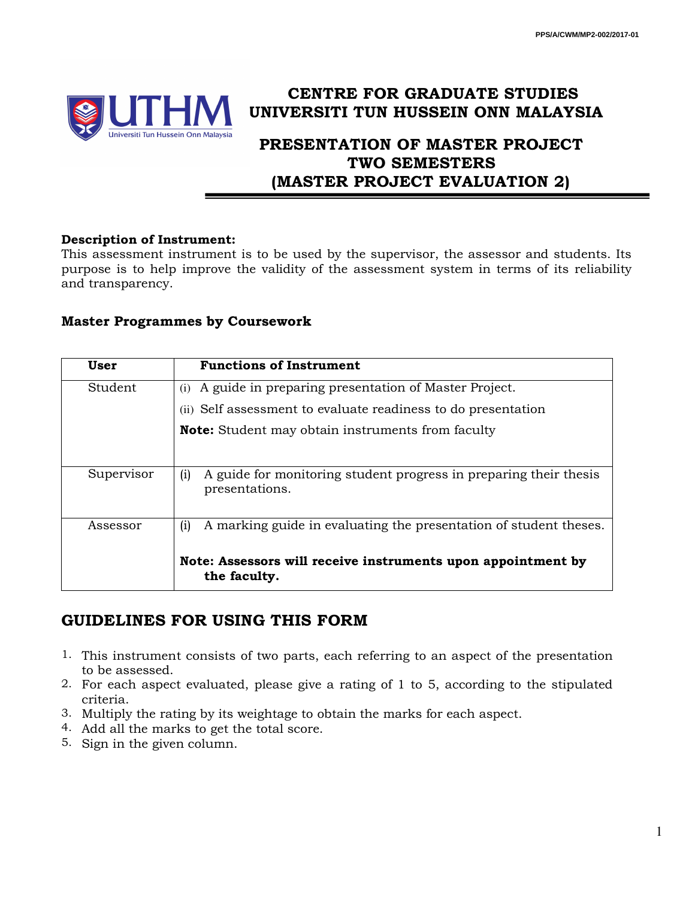

# **CENTRE FOR GRADUATE STUDIES UNIVERSITI TUN HUSSEIN ONN MALAYSIA**

# **PRESENTATION OF MASTER PROJECT TWO SEMESTERS (MASTER PROJECT EVALUATION 2)**

#### **Description of Instrument:**

This assessment instrument is to be used by the supervisor, the assessor and students. Its purpose is to help improve the validity of the assessment system in terms of its reliability and transparency.

### **Master Programmes by Coursework**

| User       | <b>Functions of Instrument</b>                                                             |
|------------|--------------------------------------------------------------------------------------------|
| Student    | A guide in preparing presentation of Master Project.<br>(i)                                |
|            | (ii) Self assessment to evaluate readiness to do presentation                              |
|            | <b>Note:</b> Student may obtain instruments from faculty                                   |
|            |                                                                                            |
| Supervisor | A guide for monitoring student progress in preparing their thesis<br>(i)<br>presentations. |
| Assessor   | A marking guide in evaluating the presentation of student theses.<br>(i)                   |
|            | Note: Assessors will receive instruments upon appointment by<br>the faculty.               |

## **GUIDELINES FOR USING THIS FORM**

- 1. This instrument consists of two parts, each referring to an aspect of the presentation to be assessed.
- 2. For each aspect evaluated, please give a rating of 1 to 5, according to the stipulated criteria.
- 3. Multiply the rating by its weightage to obtain the marks for each aspect.
- 4. Add all the marks to get the total score.
- 5. Sign in the given column.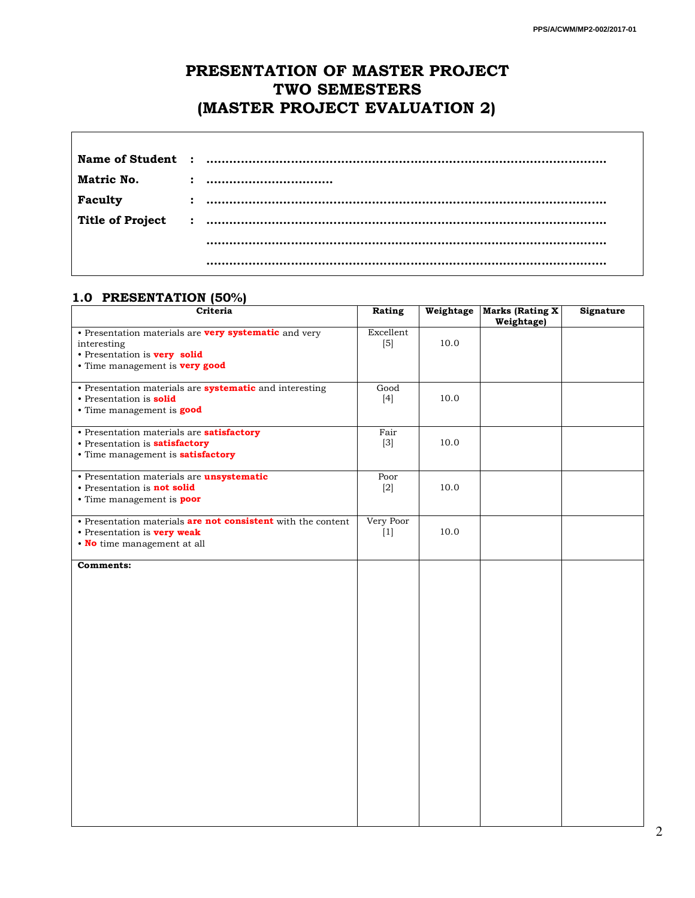## **PRESENTATION OF MASTER PROJECT TWO SEMESTERS (MASTER PROJECT EVALUATION 2)**

| Matric No. |  |
|------------|--|
| Faculty    |  |
|            |  |
|            |  |
|            |  |

#### **1.0 PRESENTATION (50%)**

| Criteria                                                       | Rating    |      | Weightage   Marks (Rating X)<br>Weightage) | Signature |  |
|----------------------------------------------------------------|-----------|------|--------------------------------------------|-----------|--|
| • Presentation materials are very systematic and very          | Excellent |      |                                            |           |  |
| interesting                                                    | $[5]$     | 10.0 |                                            |           |  |
| • Presentation is very solid                                   |           |      |                                            |           |  |
| • Time management is very good                                 |           |      |                                            |           |  |
|                                                                |           |      |                                            |           |  |
| • Presentation materials are <b>systematic</b> and interesting | Good      |      |                                            |           |  |
| • Presentation is <b>solid</b>                                 | $[4]$     | 10.0 |                                            |           |  |
| • Time management is good                                      |           |      |                                            |           |  |
|                                                                |           |      |                                            |           |  |
| · Presentation materials are satisfactory                      | Fair      |      |                                            |           |  |
| • Presentation is <b>satisfactory</b>                          | $[3]$     | 10.0 |                                            |           |  |
| • Time management is <b>satisfactory</b>                       |           |      |                                            |           |  |
| · Presentation materials are unsystematic                      | Poor      |      |                                            |           |  |
| • Presentation is not solid                                    | $[2]$     | 10.0 |                                            |           |  |
| • Time management is <b>poor</b>                               |           |      |                                            |           |  |
|                                                                |           |      |                                            |           |  |
| • Presentation materials are not consistent with the content   | Very Poor |      |                                            |           |  |
| • Presentation is <b>very weak</b>                             | $[1]$     | 10.0 |                                            |           |  |
| . No time management at all                                    |           |      |                                            |           |  |
|                                                                |           |      |                                            |           |  |
| <b>Comments:</b>                                               |           |      |                                            |           |  |
|                                                                |           |      |                                            |           |  |
|                                                                |           |      |                                            |           |  |
|                                                                |           |      |                                            |           |  |
|                                                                |           |      |                                            |           |  |
|                                                                |           |      |                                            |           |  |
|                                                                |           |      |                                            |           |  |
|                                                                |           |      |                                            |           |  |
|                                                                |           |      |                                            |           |  |
|                                                                |           |      |                                            |           |  |
|                                                                |           |      |                                            |           |  |
|                                                                |           |      |                                            |           |  |
|                                                                |           |      |                                            |           |  |
|                                                                |           |      |                                            |           |  |
|                                                                |           |      |                                            |           |  |
|                                                                |           |      |                                            |           |  |
|                                                                |           |      |                                            |           |  |
|                                                                |           |      |                                            |           |  |
|                                                                |           |      |                                            |           |  |
|                                                                |           |      |                                            |           |  |
|                                                                |           |      |                                            |           |  |
|                                                                |           |      |                                            |           |  |